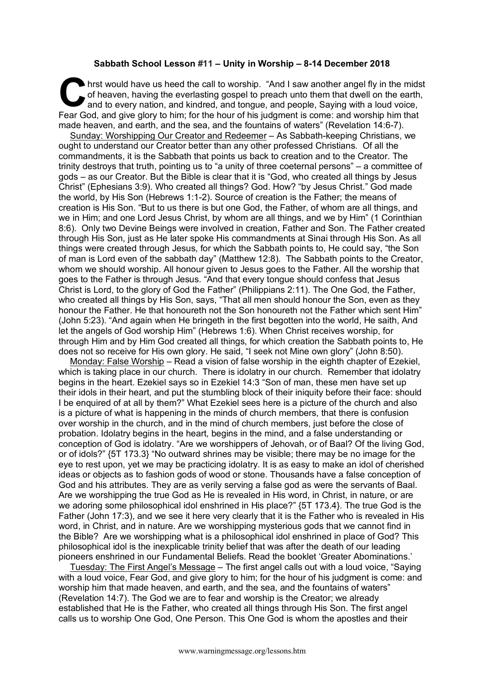## **Sabbath School Lesson #11 – Unity in Worship – 8-14 December 2018**

hrst would have us heed the call to worship. "And I saw another angel fly in the midst<br>of heaven, having the everlasting gospel to preach unto them that dwell on the earth,<br>and to every nation, and kindred, and tongue, and of heaven, having the everlasting gospel to preach unto them that dwell on the earth, and to every nation, and kindred, and tongue, and people, Saying with a loud voice, Fear God, and give glory to him; for the hour of his judgment is come: and worship him that made heaven, and earth, and the sea, and the fountains of waters" (Revelation 14:6-7).

Sunday: Worshipping Our Creator and Redeemer – As Sabbath-keeping Christians, we ought to understand our Creator better than any other professed Christians. Of all the commandments, it is the Sabbath that points us back to creation and to the Creator. The trinity destroys that truth, pointing us to "a unity of three coeternal persons" – a committee of gods – as our Creator. But the Bible is clear that it is "God, who created all things by Jesus Christ" (Ephesians 3:9). Who created all things? God. How? "by Jesus Christ." God made the world, by His Son (Hebrews 1:1-2). Source of creation is the Father; the means of creation is His Son. "But to us there is but one God, the Father, of whom are all things, and we in Him; and one Lord Jesus Christ, by whom are all things, and we by Him" (1 Corinthian 8:6). Only two Devine Beings were involved in creation, Father and Son. The Father created through His Son, just as He later spoke His commandments at Sinai through His Son. As all things were created through Jesus, for which the Sabbath points to, He could say, "the Son of man is Lord even of the sabbath day" (Matthew 12:8). The Sabbath points to the Creator, whom we should worship. All honour given to Jesus goes to the Father. All the worship that goes to the Father is through Jesus. "And that every tongue should confess that Jesus Christ is Lord, to the glory of God the Father" (Philippians 2:11). The One God, the Father, who created all things by His Son, says, "That all men should honour the Son, even as they honour the Father. He that honoureth not the Son honoureth not the Father which sent Him" (John 5:23). "And again when He bringeth in the first begotten into the world, He saith, And let the angels of God worship Him" (Hebrews 1:6). When Christ receives worship, for through Him and by Him God created all things, for which creation the Sabbath points to, He does not so receive for His own glory. He said, "I seek not Mine own glory" (John 8:50).

Monday: False Worship – Read a vision of false worship in the eighth chapter of Ezekiel, which is taking place in our church. There is idolatry in our church. Remember that idolatry begins in the heart. Ezekiel says so in Ezekiel 14:3 "Son of man, these men have set up their idols in their heart, and put the stumbling block of their iniquity before their face: should I be enquired of at all by them?" What Ezekiel sees here is a picture of the church and also is a picture of what is happening in the minds of church members, that there is confusion over worship in the church, and in the mind of church members, just before the close of probation. Idolatry begins in the heart, begins in the mind, and a false understanding or conception of God is idolatry. "Are we worshippers of Jehovah, or of Baal? Of the living God, or of idols?" {5T 173.3} "No outward shrines may be visible; there may be no image for the eye to rest upon, yet we may be practicing idolatry. It is as easy to make an idol of cherished ideas or objects as to fashion gods of wood or stone. Thousands have a false conception of God and his attributes. They are as verily serving a false god as were the servants of Baal. Are we worshipping the true God as He is revealed in His word, in Christ, in nature, or are we adoring some philosophical idol enshrined in His place?" {5T 173.4}. The true God is the Father (John 17:3), and we see it here very clearly that it is the Father who is revealed in His word, in Christ, and in nature. Are we worshipping mysterious gods that we cannot find in the Bible? Are we worshipping what is a philosophical idol enshrined in place of God? This philosophical idol is the inexplicable trinity belief that was after the death of our leading pioneers enshrined in our Fundamental Beliefs. Read the booklet 'Greater Abominations.'

Tuesday: The First Angel's Message – The first angel calls out with a loud voice, "Saying with a loud voice, Fear God, and give glory to him; for the hour of his judgment is come: and worship him that made heaven, and earth, and the sea, and the fountains of waters" (Revelation 14:7). The God we are to fear and worship is the Creator; we already established that He is the Father, who created all things through His Son. The first angel calls us to worship One God, One Person. This One God is whom the apostles and their